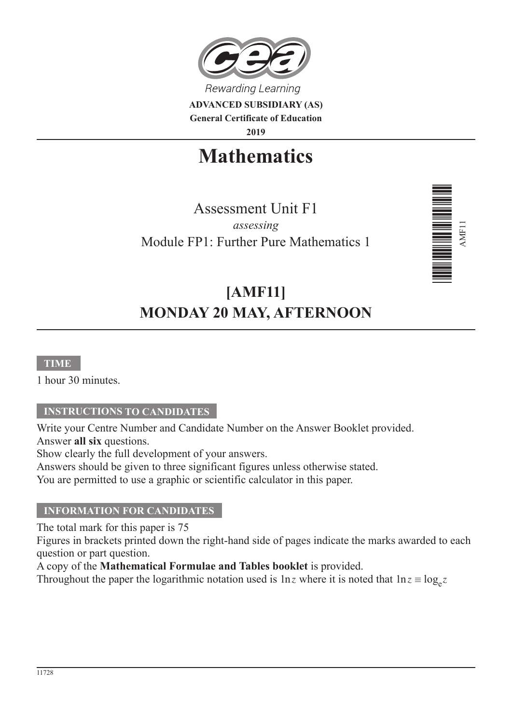

**ADVANCED SUBSIDIARY (AS) General Certificate of Education 2019**

**Mathematics**

Assessment Unit F1 *assessing* Module FP1: Further Pure Mathematics 1



# **[AMF11] MONDAY 20 MAY, AFTERNOON**

#### **TIME**

1 hour 30 minutes.

### **INSTRUCTIONS TO CANDIDATES**

Write your Centre Number and Candidate Number on the Answer Booklet provided. Answer **all six** questions.

Show clearly the full development of your answers.

Answers should be given to three significant figures unless otherwise stated.

You are permitted to use a graphic or scientific calculator in this paper.

### **INFORMATION FOR CANDIDATES**

The total mark for this paper is 75

Figures in brackets printed down the right-hand side of pages indicate the marks awarded to each question or part question.

A copy of the **Mathematical Formulae and Tables booklet** is provided.

Throughout the paper the logarithmic notation used is  $\ln z$  where it is noted that  $\ln z \equiv \log_e z$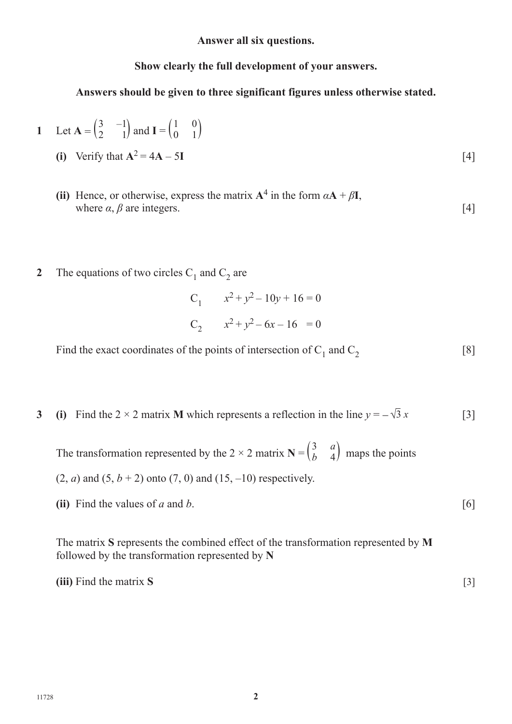**Answer all six questions.**

**Show clearly the full development of your answers.**

**Answers should be given to three significant figures unless otherwise stated.**

1 Let 
$$
\mathbf{A} = \begin{pmatrix} 3 & -1 \\ 2 & 1 \end{pmatrix}
$$
 and  $\mathbf{I} = \begin{pmatrix} 1 & 0 \\ 0 & 1 \end{pmatrix}$ 

(i) Verify that 
$$
A^2 = 4A - 5I
$$
 [4]

- **(ii)** Hence, or otherwise, express the matrix  $A^4$  in the form  $\alpha A + \beta I$ , where  $\alpha$ ,  $\beta$  are integers. [4]
- **2** The equations of two circles  $C_1$  and  $C_2$  are

C<sub>1</sub> 
$$
x^2 + y^2 - 10y + 16 = 0
$$
  
C<sub>2</sub>  $x^2 + y^2 - 6x - 16 = 0$ 

Find the exact coordinates of the points of intersection of  $C_1$  and  $C_2$  [8]

**3 (i)** Find the 2 × 2 matrix **M** which represents a reflection in the line  $y = -\sqrt{3} x$  [3]

The transformation represented by the 2  $\times$  2 matrix **N** =  $\begin{pmatrix} 3 \\ b \end{pmatrix}$  $\binom{a}{4}$  maps the points  $(2, a)$  and  $(5, b + 2)$  onto  $(7, 0)$  and  $(15, -10)$  respectively.

**(ii)** Find the values of *a* and *b*. [6]

The matrix **S** represents the combined effect of the transformation represented by **M** followed by the transformation represented by **N**

**(iii)** Find the matrix **S** [3]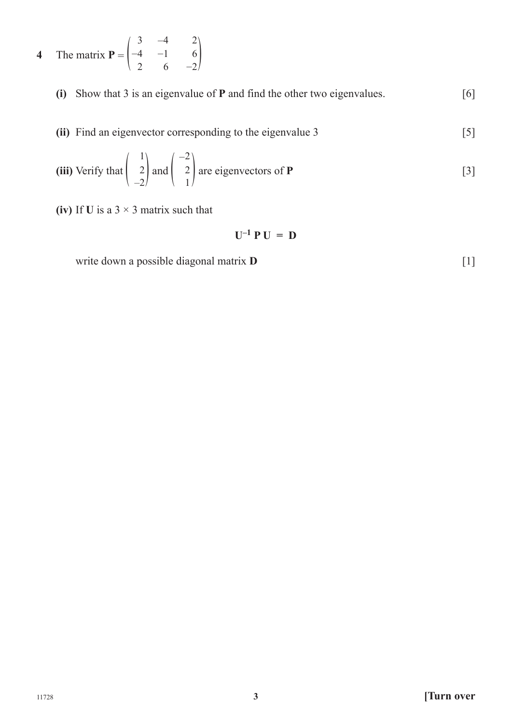**4** The matrix  $P = \begin{pmatrix} 3 \\ -4 \\ 2 \end{pmatrix}$ 2 −4 −1 6 2 6  $-2$ )

- **(i)** Show that 3 is an eigenvalue of **P** and find the other two eigenvalues. [6]
- **(ii)** Find an eigenvector corresponding to the eigenvalue 3 [5]

(iii) Verify that 
$$
\begin{pmatrix} 1 \\ 2 \\ -2 \end{pmatrix}
$$
 and  $\begin{pmatrix} -2 \\ 2 \\ 1 \end{pmatrix}$  are eigenvectors of **P** [3]

**(iv)** If **U** is a  $3 \times 3$  matrix such that

$$
\mathbf{U}^{-1}\,\mathbf{P}\,\mathbf{U}\,=\,\mathbf{D}
$$

write down a possible diagonal matrix **D** [1]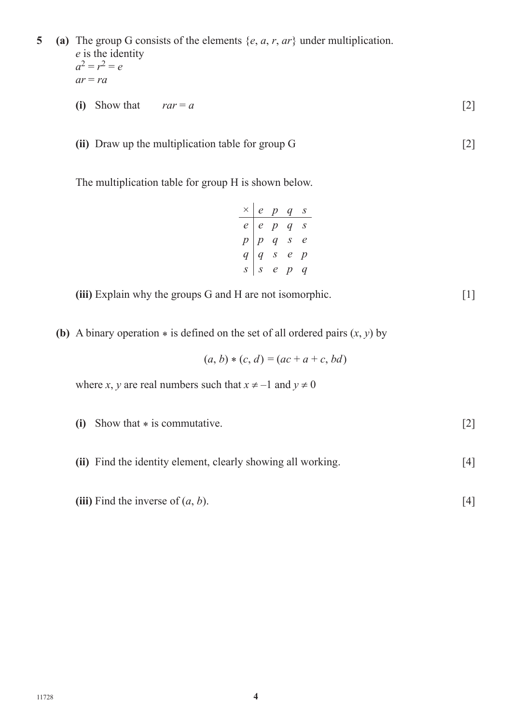**5 (a)** The group G consists of the elements {*e*, *a*, *r*, *ar*} under multiplication. *e* is the identity

- $a^2 = r^2 = e$  $ar = ra$
- (i) Show that  $rar = a$  [2]
- **(ii)** Draw up the multiplication table for group G [2]

The multiplication table for group H is shown below.

|  | $\times$   e p q                                                                       | $\boldsymbol{S}$ |
|--|----------------------------------------------------------------------------------------|------------------|
|  | $\begin{array}{c cccc} e&e&p&q\ s\\ p&p&q\ s&e\\ q&q\ s&e&p\\ s&s&e&p&q\\ \end{array}$ |                  |
|  |                                                                                        |                  |
|  |                                                                                        |                  |
|  |                                                                                        |                  |

**(iii)** Explain why the groups G and H are not isomorphic.  $[1]$ 

**(b)** A binary operation  $*$  is defined on the set of all ordered pairs  $(x, y)$  by

$$
(a, b) * (c, d) = (ac + a + c, bd)
$$

where *x*, *y* are real numbers such that  $x \ne -1$  and  $y \ne 0$ 

- **(i)** Show that \* is commutative. [2]
- **(ii)** Find the identity element, clearly showing all working. [4]
- **(iii)** Find the inverse of  $(a, b)$ . [4]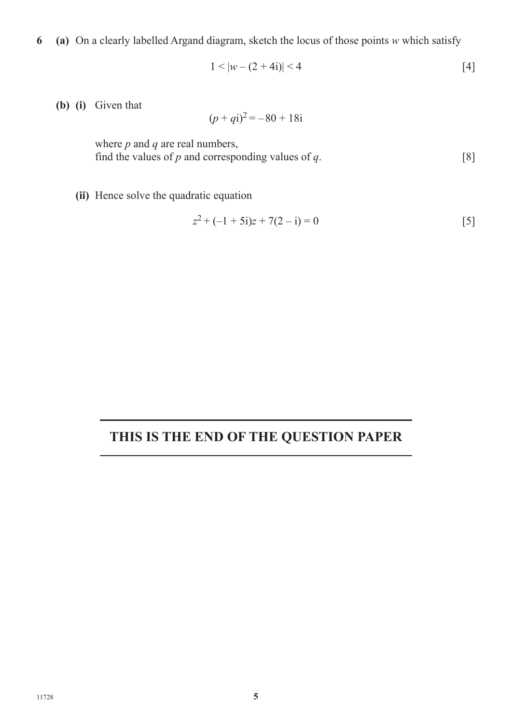**6 (a)** On a clearly labelled Argand diagram, sketch the locus of those points *w* which satisfy

$$
1 < |w - (2 + 4i)| < 4 \tag{4}
$$

**(b) (i)** Given that

$$
(p+qi)^2 = -80 + 18i
$$

 where *p* and *q* are real numbers, find the values of  $p$  and corresponding values of  $q$ . [8]

 **(ii)** Hence solve the quadratic equation

$$
z^{2} + (-1 + 5i)z + 7(2 - i) = 0
$$
\n[5]

## **THIS IS THE END OF THE QUESTION PAPER**